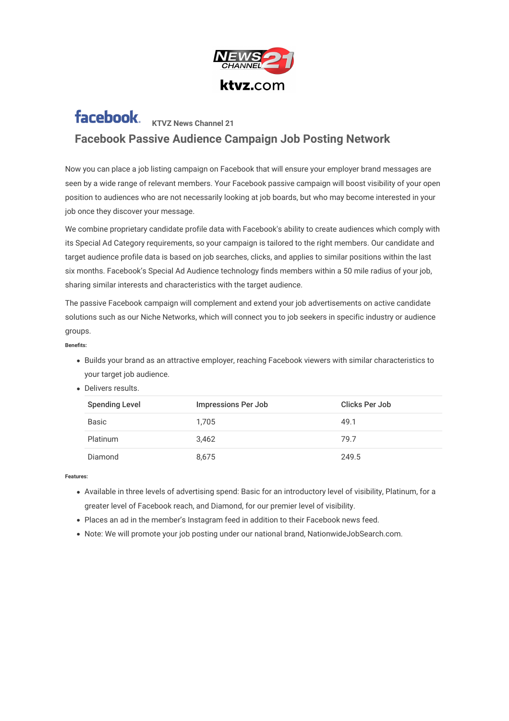

## facebook. **KTVZ News Channel 21 Facebook Passive Audience Campaign Job Posting Network**

Now you can place a job listing campaign on Facebook that will ensure your employer brand messages are seen by a wide range of relevant members. Your Facebook passive campaign will boost visibility of your open position to audiences who are not necessarily looking at job boards, but who may become interested in your job once they discover your message.

We combine proprietary candidate profile data with Facebook's ability to create audiences which comply with its Special Ad Category requirements, so your campaign is tailored to the right members. Our candidate and target audience profile data is based on job searches, clicks, and applies to similar positions within the last six months. Facebook's Special Ad Audience technology finds members within a 50 mile radius of your job, sharing similar interests and characteristics with the target audience.

The passive Facebook campaign will complement and extend your job advertisements on active candidate solutions such as our Niche Networks, which will connect you to job seekers in specific industry or audience groups.

## **Bene#ts:**

- Builds your brand as an attractive employer, reaching Facebook viewers with similar characteristics to your target job audience.
- Delivers results.

| <b>Spending Level</b> | <b>Impressions Per Job</b> | Clicks Per Job |
|-----------------------|----------------------------|----------------|
| Basic                 | 1.705                      | 49.1           |
| <b>Platinum</b>       | 3.462                      | 79.7           |
| Diamond               | 8,675                      | 249.5          |

## **Features:**

- Available in three levels of advertising spend: Basic for an introductory level of visibility, Platinum, for a greater level of Facebook reach, and Diamond, for our premier level of visibility.
- Places an ad in the member's Instagram feed in addition to their Facebook news feed.
- Note: We will promote your job posting under our national brand, NationwideJobSearch.com.